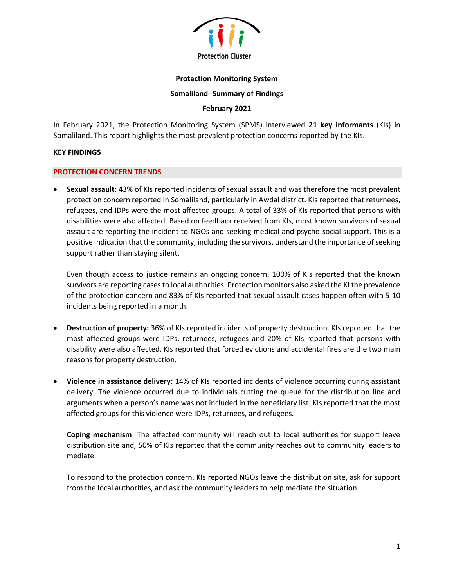

# **Protection Monitoring System**

**Somaliland- Summary of Findings**

# **February 2021**

In February 2021, the Protection Monitoring System (SPMS) interviewed **21 key informants** (KIs) in Somaliland. This report highlights the most prevalent protection concerns reported by the KIs.

### **KEY FINDINGS**

### **PROTECTION CONCERN TRENDS**

• **Sexual assault:** 43% of KIs reported incidents of sexual assault and was therefore the most prevalent protection concern reported in Somaliland, particularly in Awdal district. KIs reported that returnees, refugees, and IDPs were the most affected groups. A total of 33% of KIs reported that persons with disabilities were also affected. Based on feedback received from KIs, most known survivors of sexual assault are reporting the incident to NGOs and seeking medical and psycho-social support. This is a positive indication that the community, including the survivors, understand the importance of seeking support rather than staying silent.

Even though access to justice remains an ongoing concern, 100% of KIs reported that the known survivors are reporting cases to local authorities. Protection monitors also asked the KI the prevalence of the protection concern and 83% of KIs reported that sexual assault cases happen often with 5-10 incidents being reported in a month.

- **Destruction of property:** 36% of KIs reported incidents of property destruction. KIs reported that the most affected groups were IDPs, returnees, refugees and 20% of KIs reported that persons with disability were also affected. KIs reported that forced evictions and accidental fires are the two main reasons for property destruction.
- **Violence in assistance delivery:** 14% of KIs reported incidents of violence occurring during assistant delivery. The violence occurred due to individuals cutting the queue for the distribution line and arguments when a person's name was not included in the beneficiary list. KIs reported that the most affected groups for this violence were IDPs, returnees, and refugees.

**Coping mechanism**: The affected community will reach out to local authorities for support leave distribution site and, 50% of KIs reported that the community reaches out to community leaders to mediate.

To respond to the protection concern, KIs reported NGOs leave the distribution site, ask for support from the local authorities, and ask the community leaders to help mediate the situation.